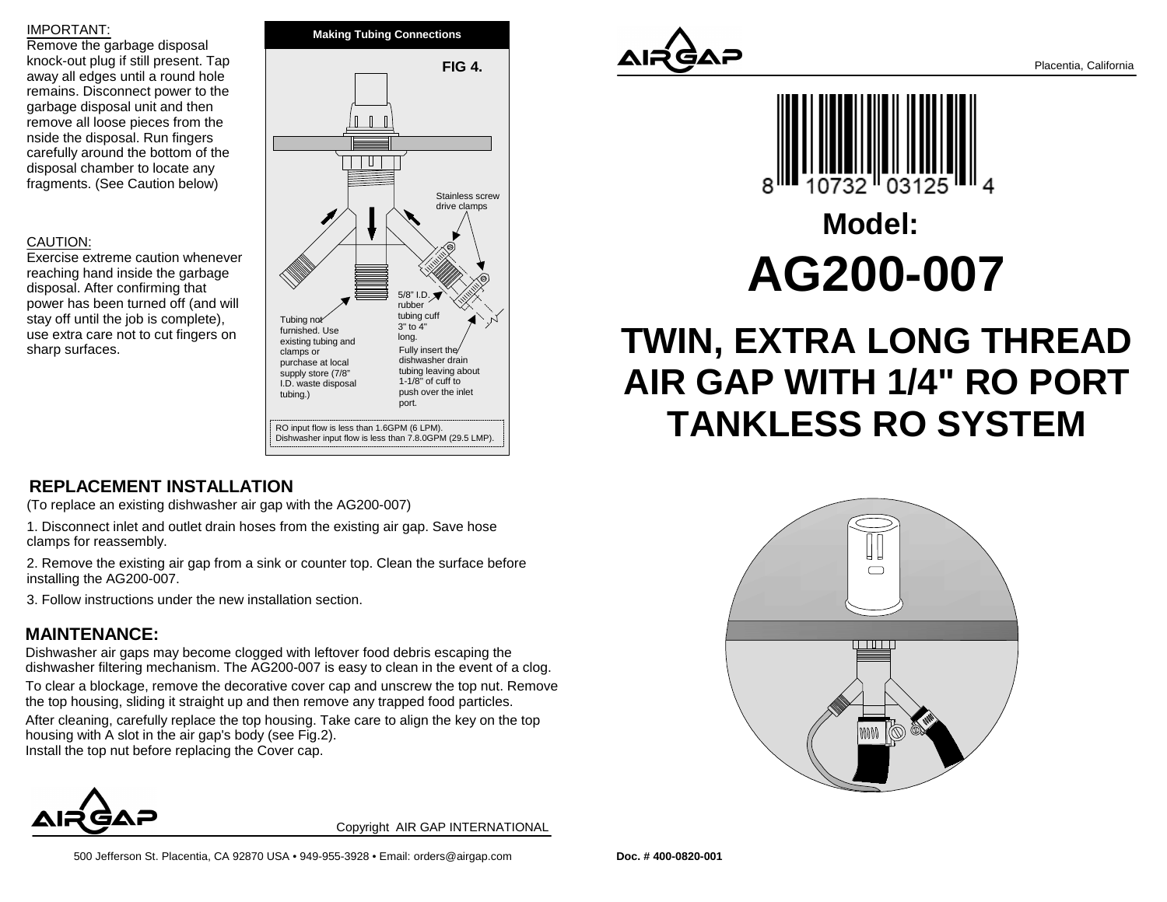#### IMPORTANT:

 Remove the garbage disposal knock-out plug if still present. Tap away all edges until a round hole remains. Disconnect power to thegarbage disposal unit and then remove all loose pieces from thenside the disposal. Run fingers carefully around the bottom of thedisposal chamber to locate anyfragments. (See Caution below)

### CAUTION:

 Exercise extreme caution wheneverreaching hand inside the garbagedisposal. After confirming that power has been turned off (and willstay off until the job is complete), use extra care not to cut fingers onsharp surfaces.



## **REPLACEMENT INSTALLATION**

(To replace an existing dishwasher air gap with the AG200-007)

1. Disconnect inlet and outlet drain hoses from the existing air gap. Save hoseclamps for reassembly.

2. Remove the existing air gap from a sink or counter top. Clean the surface beforeinstalling the AG200-007.

3. Follow instructions under the new installation section.

## **MAINTENANCE:**

 Dishwasher air gaps may become clogged with leftover food debris escaping thedishwasher filtering mechanism. The AG200-007 is easy to clean in the event of a clog.

To clear a blockage, remove the decorative cover cap and unscrew the top nut. Removethe top housing, sliding it straight up and then remove any trapped food particles. After cleaning, carefully replace the top housing. Take care to align the key on the tophousing with A slot in the air gap's body (see Fig.2). Install the top nut before replacing the Cover cap.



Copyright AIR GAP INTERNATIONAL



# **Model:AG200-007**

# **TWIN, EXTRA LONG THREAD AIR GAP WITH 1/4" RO PORTTANKLESS RO SYSTEM**



Placentia, California